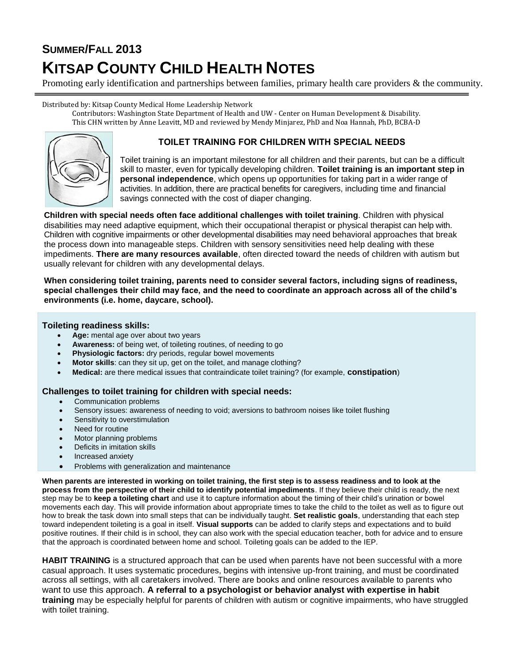# **SUMMER/FALL 2013**

# **KITSAP COUNTY CHILD HEALTH NOTES**

Promoting early identification and partnerships between families, primary health care providers & the community.

Distributed by: Kitsap County Medical Home Leadership Network

Contributors: Washington State Department of Health and UW - Center on Human Development & Disability. This CHN written by Anne Leavitt, MD and reviewed by Mendy Minjarez, PhD and Noa Hannah, PhD, BCBA-D



## **TOILET TRAINING FOR CHILDREN WITH SPECIAL NEEDS**

Toilet training is an important milestone for all children and their parents, but can be a difficult skill to master, even for typically developing children. **Toilet training is an important step in personal independence**, which opens up opportunities for taking part in a wider range of activities. In addition, there are practical benefits for caregivers, including time and financial savings connected with the cost of diaper changing.

**Children with special needs often face additional challenges with toilet training**. Children with physical disabilities may need adaptive equipment, which their occupational therapist or physical therapist can help with. Children with cognitive impairments or other developmental disabilities may need behavioral approaches that break the process down into manageable steps. Children with sensory sensitivities need help dealing with these impediments. **There are many resources available**, often directed toward the needs of children with autism but usually relevant for children with any developmental delays.

#### **When considering toilet training, parents need to consider several factors, including signs of readiness, special challenges their child may face, and the need to coordinate an approach across all of the child's environments (i.e. home, daycare, school).**

#### **Toileting readiness skills:**

- **Age:** mental age over about two years
- **Awareness:** of being wet, of toileting routines, of needing to go
- **Physiologic factors:** dry periods, regular bowel movements
- **Motor skills**: can they sit up, get on the toilet, and manage clothing?
- **Medical:** are there medical issues that contraindicate toilet training? (for example, **constipation**)

#### **Challenges to toilet training for children with special needs:**

- Communication problems
- Sensory issues: awareness of needing to void; aversions to bathroom noises like toilet flushing
- Sensitivity to overstimulation
- Need for routine
- Motor planning problems
- Deficits in imitation skills
- Increased anxiety
- Problems with generalization and maintenance

**When parents are interested in working on toilet training, the first step is to assess readiness and to look at the process from the perspective of their child to identify potential impediments**. If they believe their child is ready, the next step may be to **keep a toileting chart** and use it to capture information about the timing of their child's urination or bowel movements each day. This will provide information about appropriate times to take the child to the toilet as well as to figure out how to break the task down into small steps that can be individually taught. **Set realistic goals**, understanding that each step toward independent toileting is a goal in itself. **Visual supports** can be added to clarify steps and expectations and to build positive routines. If their child is in school, they can also work with the special education teacher, both for advice and to ensure that the approach is coordinated between home and school. Toileting goals can be added to the IEP.

**HABIT TRAINING** is a structured approach that can be used when parents have not been successful with a more casual approach. It uses systematic procedures, begins with intensive up-front training, and must be coordinated across all settings, with all caretakers involved. There are books and online resources available to parents who want to use this approach. **A referral to a psychologist or behavior analyst with expertise in habit training** may be especially helpful for parents of children with autism or cognitive impairments, who have struggled with toilet training.